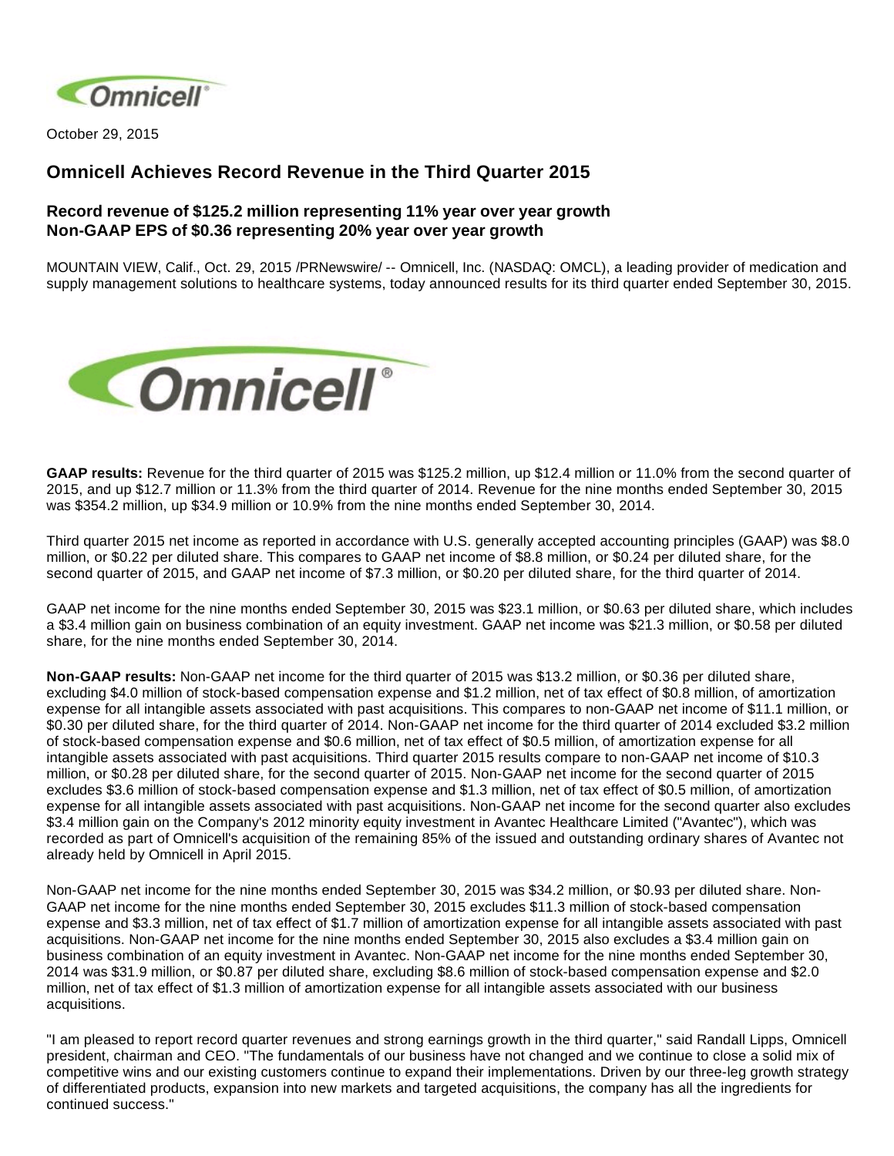

October 29, 2015

# **Omnicell Achieves Record Revenue in the Third Quarter 2015**

## **Record revenue of \$125.2 million representing 11% year over year growth Non-GAAP EPS of \$0.36 representing 20% year over year growth**

MOUNTAIN VIEW, Calif., Oct. 29, 2015 /PRNewswire/ -- Omnicell, Inc. (NASDAQ: OMCL), a leading provider of medication and supply management solutions to healthcare systems, today announced results for its third quarter ended September 30, 2015.



**GAAP results:** Revenue for the third quarter of 2015 was \$125.2 million, up \$12.4 million or 11.0% from the second quarter of 2015, and up \$12.7 million or 11.3% from the third quarter of 2014. Revenue for the nine months ended September 30, 2015 was \$354.2 million, up \$34.9 million or 10.9% from the nine months ended September 30, 2014.

Third quarter 2015 net income as reported in accordance with U.S. generally accepted accounting principles (GAAP) was \$8.0 million, or \$0.22 per diluted share. This compares to GAAP net income of \$8.8 million, or \$0.24 per diluted share, for the second quarter of 2015, and GAAP net income of \$7.3 million, or \$0.20 per diluted share, for the third quarter of 2014.

GAAP net income for the nine months ended September 30, 2015 was \$23.1 million, or \$0.63 per diluted share, which includes a \$3.4 million gain on business combination of an equity investment. GAAP net income was \$21.3 million, or \$0.58 per diluted share, for the nine months ended September 30, 2014.

**Non-GAAP results:** Non-GAAP net income for the third quarter of 2015 was \$13.2 million, or \$0.36 per diluted share, excluding \$4.0 million of stock-based compensation expense and \$1.2 million, net of tax effect of \$0.8 million, of amortization expense for all intangible assets associated with past acquisitions. This compares to non-GAAP net income of \$11.1 million, or \$0.30 per diluted share, for the third quarter of 2014. Non-GAAP net income for the third quarter of 2014 excluded \$3.2 million of stock-based compensation expense and \$0.6 million, net of tax effect of \$0.5 million, of amortization expense for all intangible assets associated with past acquisitions. Third quarter 2015 results compare to non-GAAP net income of \$10.3 million, or \$0.28 per diluted share, for the second quarter of 2015. Non-GAAP net income for the second quarter of 2015 excludes \$3.6 million of stock-based compensation expense and \$1.3 million, net of tax effect of \$0.5 million, of amortization expense for all intangible assets associated with past acquisitions. Non-GAAP net income for the second quarter also excludes \$3.4 million gain on the Company's 2012 minority equity investment in Avantec Healthcare Limited ("Avantec"), which was recorded as part of Omnicell's acquisition of the remaining 85% of the issued and outstanding ordinary shares of Avantec not already held by Omnicell in April 2015.

Non-GAAP net income for the nine months ended September 30, 2015 was \$34.2 million, or \$0.93 per diluted share. Non-GAAP net income for the nine months ended September 30, 2015 excludes \$11.3 million of stock-based compensation expense and \$3.3 million, net of tax effect of \$1.7 million of amortization expense for all intangible assets associated with past acquisitions. Non-GAAP net income for the nine months ended September 30, 2015 also excludes a \$3.4 million gain on business combination of an equity investment in Avantec. Non-GAAP net income for the nine months ended September 30, 2014 was \$31.9 million, or \$0.87 per diluted share, excluding \$8.6 million of stock-based compensation expense and \$2.0 million, net of tax effect of \$1.3 million of amortization expense for all intangible assets associated with our business acquisitions.

"I am pleased to report record quarter revenues and strong earnings growth in the third quarter," said Randall Lipps, Omnicell president, chairman and CEO. "The fundamentals of our business have not changed and we continue to close a solid mix of competitive wins and our existing customers continue to expand their implementations. Driven by our three-leg growth strategy of differentiated products, expansion into new markets and targeted acquisitions, the company has all the ingredients for continued success."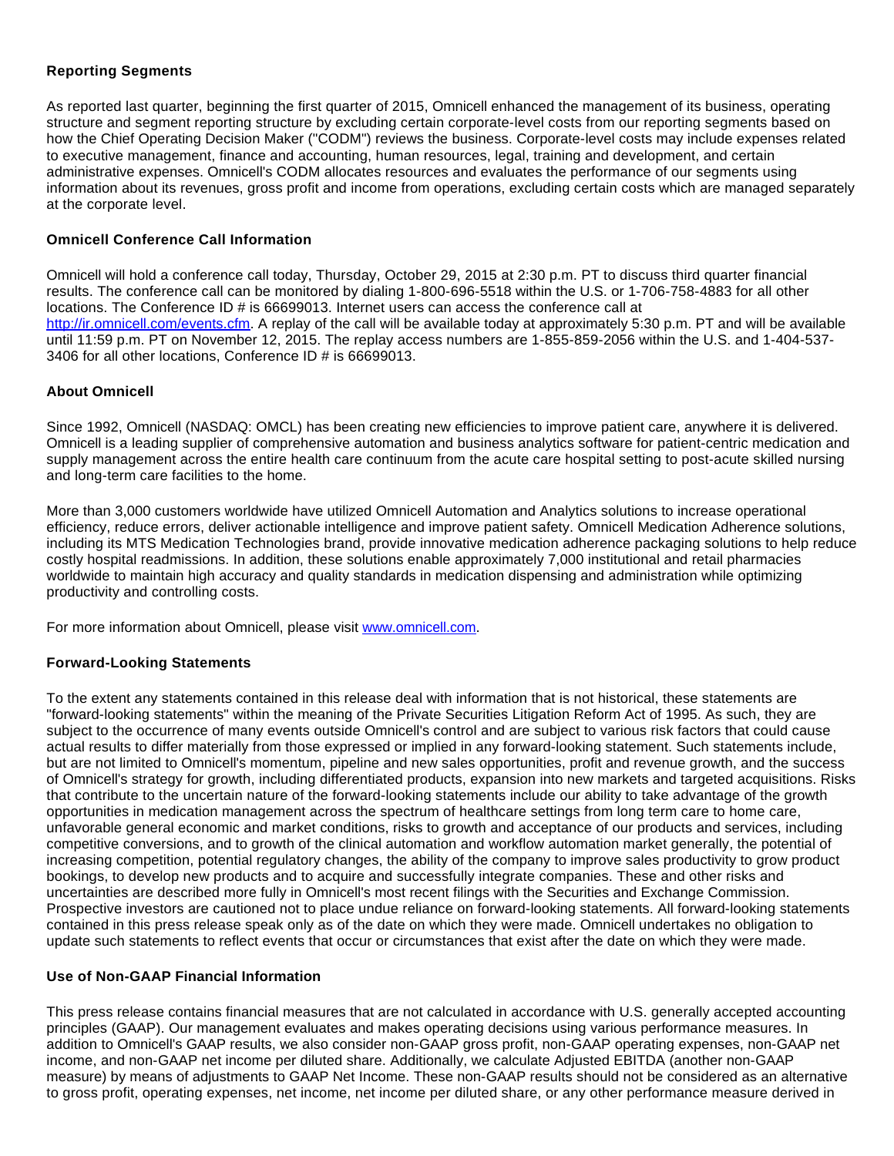### **Reporting Segments**

As reported last quarter, beginning the first quarter of 2015, Omnicell enhanced the management of its business, operating structure and segment reporting structure by excluding certain corporate-level costs from our reporting segments based on how the Chief Operating Decision Maker ("CODM") reviews the business. Corporate-level costs may include expenses related to executive management, finance and accounting, human resources, legal, training and development, and certain administrative expenses. Omnicell's CODM allocates resources and evaluates the performance of our segments using information about its revenues, gross profit and income from operations, excluding certain costs which are managed separately at the corporate level.

### **Omnicell Conference Call Information**

Omnicell will hold a conference call today, Thursday, October 29, 2015 at 2:30 p.m. PT to discuss third quarter financial results. The conference call can be monitored by dialing 1-800-696-5518 within the U.S. or 1-706-758-4883 for all other locations. The Conference ID # is 66699013. Internet users can access the conference call at <http://ir.omnicell.com/events.cfm>. A replay of the call will be available today at approximately 5:30 p.m. PT and will be available until 11:59 p.m. PT on November 12, 2015. The replay access numbers are 1-855-859-2056 within the U.S. and 1-404-537- 3406 for all other locations, Conference ID # is 66699013.

### **About Omnicell**

Since 1992, Omnicell (NASDAQ: OMCL) has been creating new efficiencies to improve patient care, anywhere it is delivered. Omnicell is a leading supplier of comprehensive automation and business analytics software for patient-centric medication and supply management across the entire health care continuum from the acute care hospital setting to post-acute skilled nursing and long-term care facilities to the home.

More than 3,000 customers worldwide have utilized Omnicell Automation and Analytics solutions to increase operational efficiency, reduce errors, deliver actionable intelligence and improve patient safety. Omnicell Medication Adherence solutions, including its MTS Medication Technologies brand, provide innovative medication adherence packaging solutions to help reduce costly hospital readmissions. In addition, these solutions enable approximately 7,000 institutional and retail pharmacies worldwide to maintain high accuracy and quality standards in medication dispensing and administration while optimizing productivity and controlling costs.

For more information about Omnicell, please visit [www.omnicell.com](http://www.omnicell.com/).

### **Forward-Looking Statements**

To the extent any statements contained in this release deal with information that is not historical, these statements are "forward-looking statements" within the meaning of the Private Securities Litigation Reform Act of 1995. As such, they are subject to the occurrence of many events outside Omnicell's control and are subject to various risk factors that could cause actual results to differ materially from those expressed or implied in any forward-looking statement. Such statements include, but are not limited to Omnicell's momentum, pipeline and new sales opportunities, profit and revenue growth, and the success of Omnicell's strategy for growth, including differentiated products, expansion into new markets and targeted acquisitions. Risks that contribute to the uncertain nature of the forward-looking statements include our ability to take advantage of the growth opportunities in medication management across the spectrum of healthcare settings from long term care to home care, unfavorable general economic and market conditions, risks to growth and acceptance of our products and services, including competitive conversions, and to growth of the clinical automation and workflow automation market generally, the potential of increasing competition, potential regulatory changes, the ability of the company to improve sales productivity to grow product bookings, to develop new products and to acquire and successfully integrate companies. These and other risks and uncertainties are described more fully in Omnicell's most recent filings with the Securities and Exchange Commission. Prospective investors are cautioned not to place undue reliance on forward-looking statements. All forward-looking statements contained in this press release speak only as of the date on which they were made. Omnicell undertakes no obligation to update such statements to reflect events that occur or circumstances that exist after the date on which they were made.

### **Use of Non-GAAP Financial Information**

This press release contains financial measures that are not calculated in accordance with U.S. generally accepted accounting principles (GAAP). Our management evaluates and makes operating decisions using various performance measures. In addition to Omnicell's GAAP results, we also consider non-GAAP gross profit, non-GAAP operating expenses, non-GAAP net income, and non-GAAP net income per diluted share. Additionally, we calculate Adjusted EBITDA (another non-GAAP measure) by means of adjustments to GAAP Net Income. These non-GAAP results should not be considered as an alternative to gross profit, operating expenses, net income, net income per diluted share, or any other performance measure derived in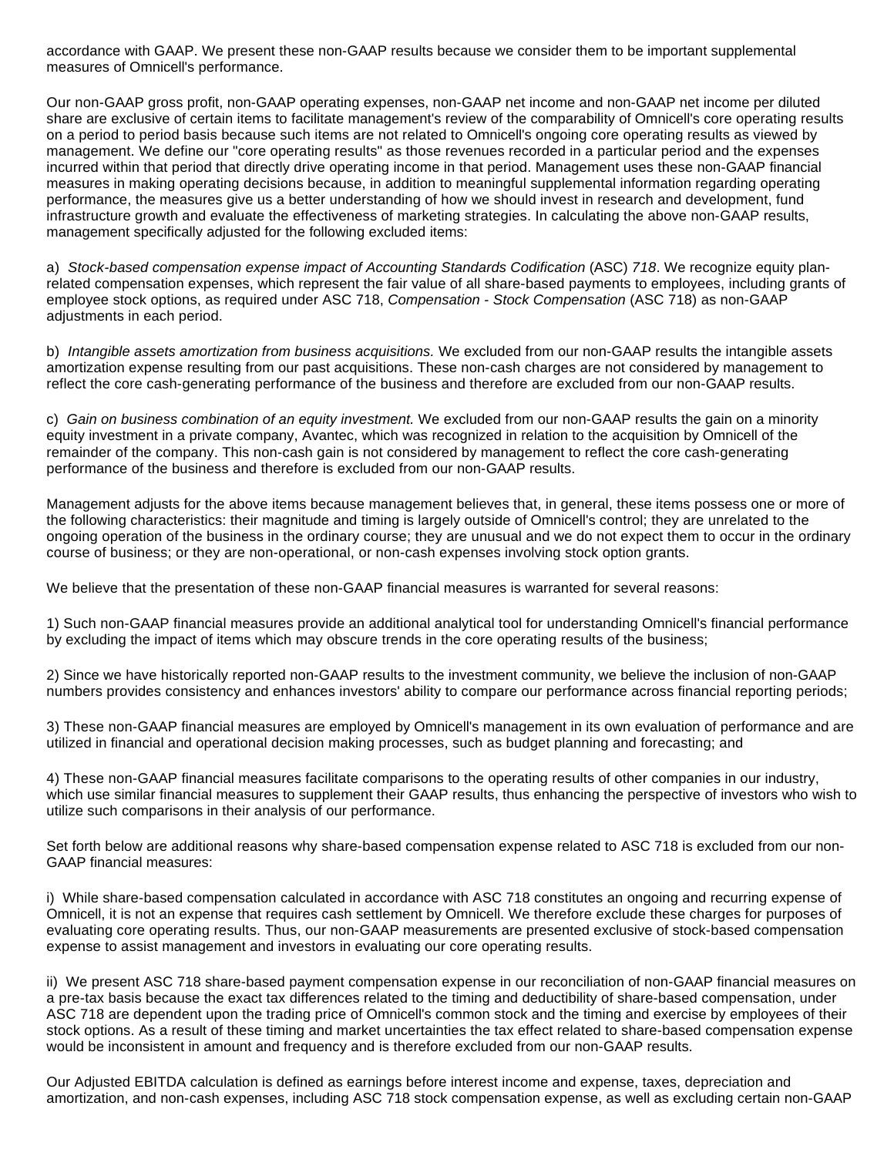accordance with GAAP. We present these non-GAAP results because we consider them to be important supplemental measures of Omnicell's performance.

Our non-GAAP gross profit, non-GAAP operating expenses, non-GAAP net income and non-GAAP net income per diluted share are exclusive of certain items to facilitate management's review of the comparability of Omnicell's core operating results on a period to period basis because such items are not related to Omnicell's ongoing core operating results as viewed by management. We define our "core operating results" as those revenues recorded in a particular period and the expenses incurred within that period that directly drive operating income in that period. Management uses these non-GAAP financial measures in making operating decisions because, in addition to meaningful supplemental information regarding operating performance, the measures give us a better understanding of how we should invest in research and development, fund infrastructure growth and evaluate the effectiveness of marketing strategies. In calculating the above non-GAAP results, management specifically adjusted for the following excluded items:

a) Stock-based compensation expense impact of Accounting Standards Codification (ASC) 718. We recognize equity planrelated compensation expenses, which represent the fair value of all share-based payments to employees, including grants of employee stock options, as required under ASC 718, Compensation - Stock Compensation (ASC 718) as non-GAAP adjustments in each period.

b) Intangible assets amortization from business acquisitions. We excluded from our non-GAAP results the intangible assets amortization expense resulting from our past acquisitions. These non-cash charges are not considered by management to reflect the core cash-generating performance of the business and therefore are excluded from our non-GAAP results.

c) Gain on business combination of an equity investment. We excluded from our non-GAAP results the gain on a minority equity investment in a private company, Avantec, which was recognized in relation to the acquisition by Omnicell of the remainder of the company. This non-cash gain is not considered by management to reflect the core cash-generating performance of the business and therefore is excluded from our non-GAAP results.

Management adjusts for the above items because management believes that, in general, these items possess one or more of the following characteristics: their magnitude and timing is largely outside of Omnicell's control; they are unrelated to the ongoing operation of the business in the ordinary course; they are unusual and we do not expect them to occur in the ordinary course of business; or they are non-operational, or non-cash expenses involving stock option grants.

We believe that the presentation of these non-GAAP financial measures is warranted for several reasons:

1) Such non-GAAP financial measures provide an additional analytical tool for understanding Omnicell's financial performance by excluding the impact of items which may obscure trends in the core operating results of the business;

2) Since we have historically reported non-GAAP results to the investment community, we believe the inclusion of non-GAAP numbers provides consistency and enhances investors' ability to compare our performance across financial reporting periods;

3) These non-GAAP financial measures are employed by Omnicell's management in its own evaluation of performance and are utilized in financial and operational decision making processes, such as budget planning and forecasting; and

4) These non-GAAP financial measures facilitate comparisons to the operating results of other companies in our industry, which use similar financial measures to supplement their GAAP results, thus enhancing the perspective of investors who wish to utilize such comparisons in their analysis of our performance.

Set forth below are additional reasons why share-based compensation expense related to ASC 718 is excluded from our non-GAAP financial measures:

i) While share-based compensation calculated in accordance with ASC 718 constitutes an ongoing and recurring expense of Omnicell, it is not an expense that requires cash settlement by Omnicell. We therefore exclude these charges for purposes of evaluating core operating results. Thus, our non-GAAP measurements are presented exclusive of stock-based compensation expense to assist management and investors in evaluating our core operating results.

ii) We present ASC 718 share-based payment compensation expense in our reconciliation of non-GAAP financial measures on a pre-tax basis because the exact tax differences related to the timing and deductibility of share-based compensation, under ASC 718 are dependent upon the trading price of Omnicell's common stock and the timing and exercise by employees of their stock options. As a result of these timing and market uncertainties the tax effect related to share-based compensation expense would be inconsistent in amount and frequency and is therefore excluded from our non-GAAP results.

Our Adjusted EBITDA calculation is defined as earnings before interest income and expense, taxes, depreciation and amortization, and non-cash expenses, including ASC 718 stock compensation expense, as well as excluding certain non-GAAP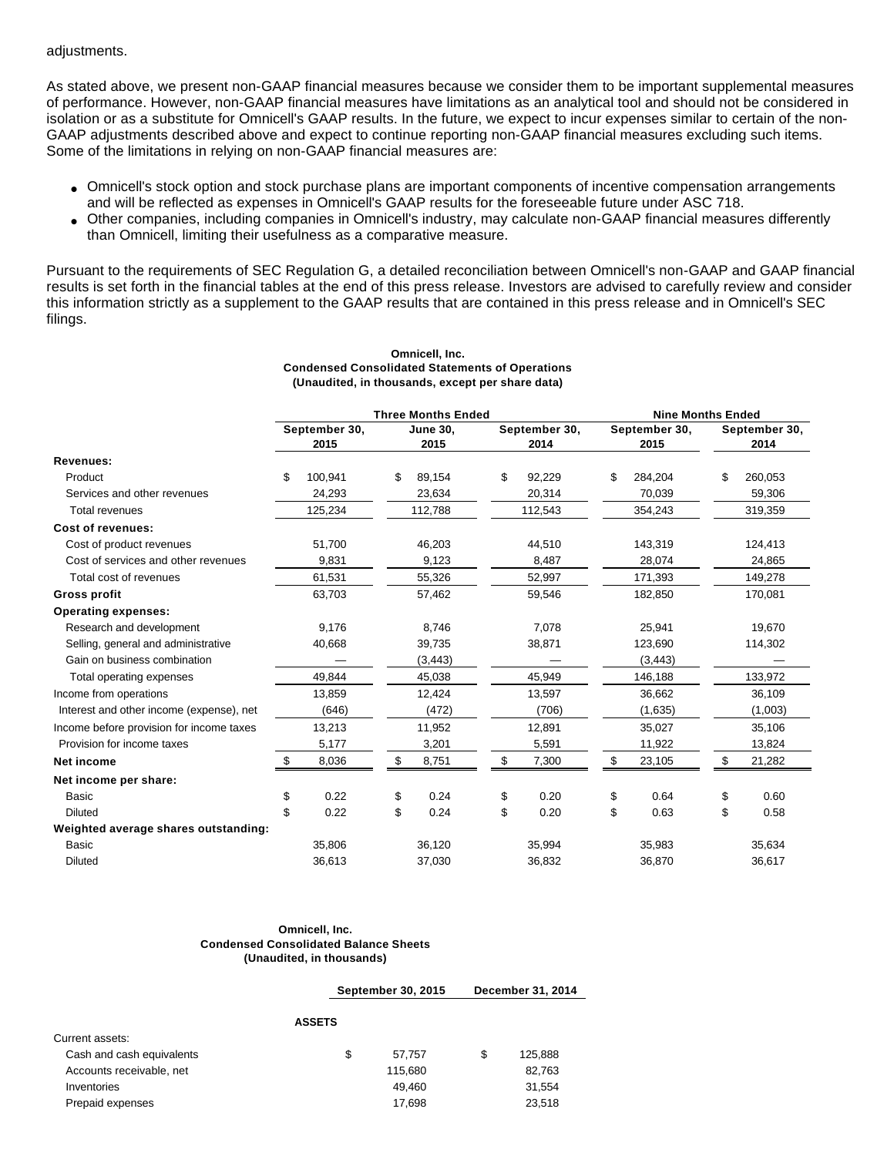adjustments.

As stated above, we present non-GAAP financial measures because we consider them to be important supplemental measures of performance. However, non-GAAP financial measures have limitations as an analytical tool and should not be considered in isolation or as a substitute for Omnicell's GAAP results. In the future, we expect to incur expenses similar to certain of the non-GAAP adjustments described above and expect to continue reporting non-GAAP financial measures excluding such items. Some of the limitations in relying on non-GAAP financial measures are:

- Omnicell's stock option and stock purchase plans are important components of incentive compensation arrangements and will be reflected as expenses in Omnicell's GAAP results for the foreseeable future under ASC 718.
- Other companies, including companies in Omnicell's industry, may calculate non-GAAP financial measures differently than Omnicell, limiting their usefulness as a comparative measure.

Pursuant to the requirements of SEC Regulation G, a detailed reconciliation between Omnicell's non-GAAP and GAAP financial results is set forth in the financial tables at the end of this press release. Investors are advised to carefully review and consider this information strictly as a supplement to the GAAP results that are contained in this press release and in Omnicell's SEC filings.

|                                          |    | (Unaudited, in thousands, except per share data) |                         |                           |                       |         |                       |                          |                       |
|------------------------------------------|----|--------------------------------------------------|-------------------------|---------------------------|-----------------------|---------|-----------------------|--------------------------|-----------------------|
|                                          |    |                                                  |                         | <b>Three Months Ended</b> |                       |         |                       | <b>Nine Months Ended</b> |                       |
|                                          |    | September 30,<br>2015                            | <b>June 30,</b><br>2015 |                           | September 30,<br>2014 |         | September 30,<br>2015 |                          | September 30,<br>2014 |
| Revenues:                                |    |                                                  |                         |                           |                       |         |                       |                          |                       |
| Product                                  | \$ | 100,941                                          | \$                      | 89,154                    | \$                    | 92,229  | \$                    | 284,204                  | \$<br>260,053         |
| Services and other revenues              |    | 24,293                                           |                         | 23,634                    |                       | 20,314  |                       | 70,039                   | 59,306                |
| <b>Total revenues</b>                    |    | 125,234                                          |                         | 112,788                   |                       | 112,543 |                       | 354,243                  | 319,359               |
| Cost of revenues:                        |    |                                                  |                         |                           |                       |         |                       |                          |                       |
| Cost of product revenues                 |    | 51,700                                           |                         | 46,203                    |                       | 44,510  |                       | 143,319                  | 124,413               |
| Cost of services and other revenues      |    | 9,831                                            |                         | 9,123                     |                       | 8,487   |                       | 28,074                   | 24,865                |
| Total cost of revenues                   |    | 61,531                                           |                         | 55,326                    |                       | 52,997  |                       | 171,393                  | 149,278               |
| <b>Gross profit</b>                      |    | 63,703                                           |                         | 57,462                    |                       | 59,546  |                       | 182,850                  | 170,081               |
| <b>Operating expenses:</b>               |    |                                                  |                         |                           |                       |         |                       |                          |                       |
| Research and development                 |    | 9,176                                            |                         | 8,746                     |                       | 7,078   |                       | 25,941                   | 19,670                |
| Selling, general and administrative      |    | 40,668                                           |                         | 39,735                    |                       | 38,871  |                       | 123,690                  | 114,302               |
| Gain on business combination             |    |                                                  |                         | (3, 443)                  |                       |         |                       | (3, 443)                 |                       |
| Total operating expenses                 |    | 49,844                                           |                         | 45,038                    |                       | 45,949  |                       | 146,188                  | 133,972               |
| Income from operations                   |    | 13,859                                           |                         | 12,424                    |                       | 13,597  |                       | 36,662                   | 36,109                |
| Interest and other income (expense), net |    | (646)                                            |                         | (472)                     |                       | (706)   |                       | (1,635)                  | (1,003)               |
| Income before provision for income taxes |    | 13,213                                           |                         | 11,952                    |                       | 12,891  |                       | 35,027                   | 35,106                |
| Provision for income taxes               |    | 5,177                                            |                         | 3,201                     |                       | 5,591   |                       | 11,922                   | 13,824                |
| Net income                               | S  | 8,036                                            | \$                      | 8,751                     | \$                    | 7,300   | \$                    | 23,105                   | \$<br>21,282          |
| Net income per share:                    |    |                                                  |                         |                           |                       |         |                       |                          |                       |
| <b>Basic</b>                             | \$ | 0.22                                             | \$                      | 0.24                      | \$                    | 0.20    | \$                    | 0.64                     | \$<br>0.60            |
| <b>Diluted</b>                           | \$ | 0.22                                             | \$                      | 0.24                      | \$                    | 0.20    | \$                    | 0.63                     | \$<br>0.58            |
| Weighted average shares outstanding:     |    |                                                  |                         |                           |                       |         |                       |                          |                       |
| <b>Basic</b>                             |    | 35,806                                           |                         | 36,120                    |                       | 35,994  |                       | 35,983                   | 35,634                |
| <b>Diluted</b>                           |    | 36,613                                           |                         | 37,030                    |                       | 36.832  |                       | 36,870                   | 36,617                |

# **Omnicell, Inc. Condensed Consolidated Statements of Operations**

#### **Omnicell, Inc. Condensed Consolidated Balance Sheets (Unaudited, in thousands)**

**September 30, 2015 December 31, 2014**

|                           | <b>ASSETS</b> |         |     |         |
|---------------------------|---------------|---------|-----|---------|
| Current assets:           |               |         |     |         |
| Cash and cash equivalents | S             | 57.757  | \$. | 125,888 |
| Accounts receivable, net  |               | 115.680 |     | 82,763  |
| Inventories               |               | 49.460  |     | 31.554  |
| Prepaid expenses          |               | 17.698  |     | 23,518  |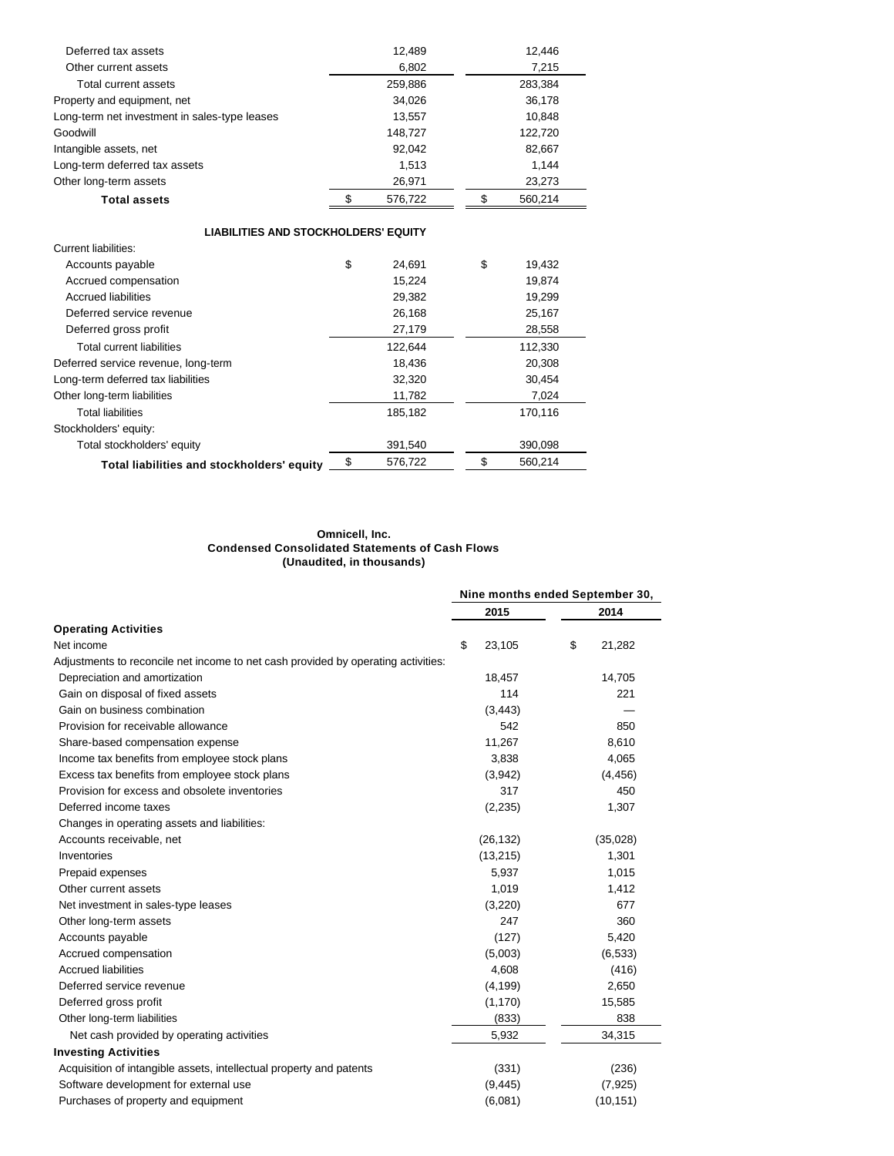| Deferred tax assets                           | 12,489  | 12,446  |
|-----------------------------------------------|---------|---------|
| Other current assets                          | 6,802   | 7,215   |
| Total current assets                          | 259,886 | 283,384 |
| Property and equipment, net                   | 34,026  | 36,178  |
| Long-term net investment in sales-type leases | 13,557  | 10,848  |
| Goodwill                                      | 148.727 | 122,720 |
| Intangible assets, net                        | 92.042  | 82,667  |
| Long-term deferred tax assets                 | 1.513   | 1.144   |
| Other long-term assets                        | 26,971  | 23,273  |
| <b>Total assets</b>                           | 576,722 | 560,214 |

| <b>LIABILITIES AND STOCKHOLDERS' EQUITY</b> |              |               |
|---------------------------------------------|--------------|---------------|
| Current liabilities:                        |              |               |
| Accounts payable                            | \$<br>24.691 | \$<br>19,432  |
| Accrued compensation                        | 15,224       | 19.874        |
| <b>Accrued liabilities</b>                  | 29,382       | 19,299        |
| Deferred service revenue                    | 26,168       | 25,167        |
| Deferred gross profit                       | 27,179       | 28,558        |
| Total current liabilities                   | 122,644      | 112,330       |
| Deferred service revenue, long-term         | 18,436       | 20,308        |
| Long-term deferred tax liabilities          | 32,320       | 30,454        |
| Other long-term liabilities                 | 11,782       | 7,024         |
| <b>Total liabilities</b>                    | 185,182      | 170,116       |
| Stockholders' equity:                       |              |               |
| Total stockholders' equity                  | 391,540      | 390,098       |
| Total liabilities and stockholders' equity  | 576.722      | \$<br>560.214 |

#### **Omnicell, Inc. Condensed Consolidated Statements of Cash Flows (Unaudited, in thousands)**

|                                                                                   |              | Nine months ended September 30, |
|-----------------------------------------------------------------------------------|--------------|---------------------------------|
|                                                                                   | 2015         | 2014                            |
| <b>Operating Activities</b>                                                       |              |                                 |
| Net income                                                                        | \$<br>23,105 | \$<br>21,282                    |
| Adjustments to reconcile net income to net cash provided by operating activities: |              |                                 |
| Depreciation and amortization                                                     | 18,457       | 14,705                          |
| Gain on disposal of fixed assets                                                  | 114          | 221                             |
| Gain on business combination                                                      | (3, 443)     |                                 |
| Provision for receivable allowance                                                | 542          | 850                             |
| Share-based compensation expense                                                  | 11,267       | 8,610                           |
| Income tax benefits from employee stock plans                                     | 3,838        | 4,065                           |
| Excess tax benefits from employee stock plans                                     | (3,942)      | (4, 456)                        |
| Provision for excess and obsolete inventories                                     | 317          | 450                             |
| Deferred income taxes                                                             | (2,235)      | 1,307                           |
| Changes in operating assets and liabilities:                                      |              |                                 |
| Accounts receivable, net                                                          | (26, 132)    | (35,028)                        |
| Inventories                                                                       | (13,215)     | 1,301                           |
| Prepaid expenses                                                                  | 5,937        | 1,015                           |
| Other current assets                                                              | 1,019        | 1,412                           |
| Net investment in sales-type leases                                               | (3,220)      | 677                             |
| Other long-term assets                                                            | 247          | 360                             |
| Accounts payable                                                                  | (127)        | 5,420                           |
| Accrued compensation                                                              | (5,003)      | (6, 533)                        |
| <b>Accrued liabilities</b>                                                        | 4,608        | (416)                           |
| Deferred service revenue                                                          | (4, 199)     | 2,650                           |
| Deferred gross profit                                                             | (1, 170)     | 15,585                          |
| Other long-term liabilities                                                       | (833)        | 838                             |
| Net cash provided by operating activities                                         | 5,932        | 34,315                          |
| <b>Investing Activities</b>                                                       |              |                                 |
| Acquisition of intangible assets, intellectual property and patents               | (331)        | (236)                           |
| Software development for external use                                             | (9, 445)     | (7, 925)                        |
| Purchases of property and equipment                                               | (6,081)      | (10, 151)                       |
|                                                                                   |              |                                 |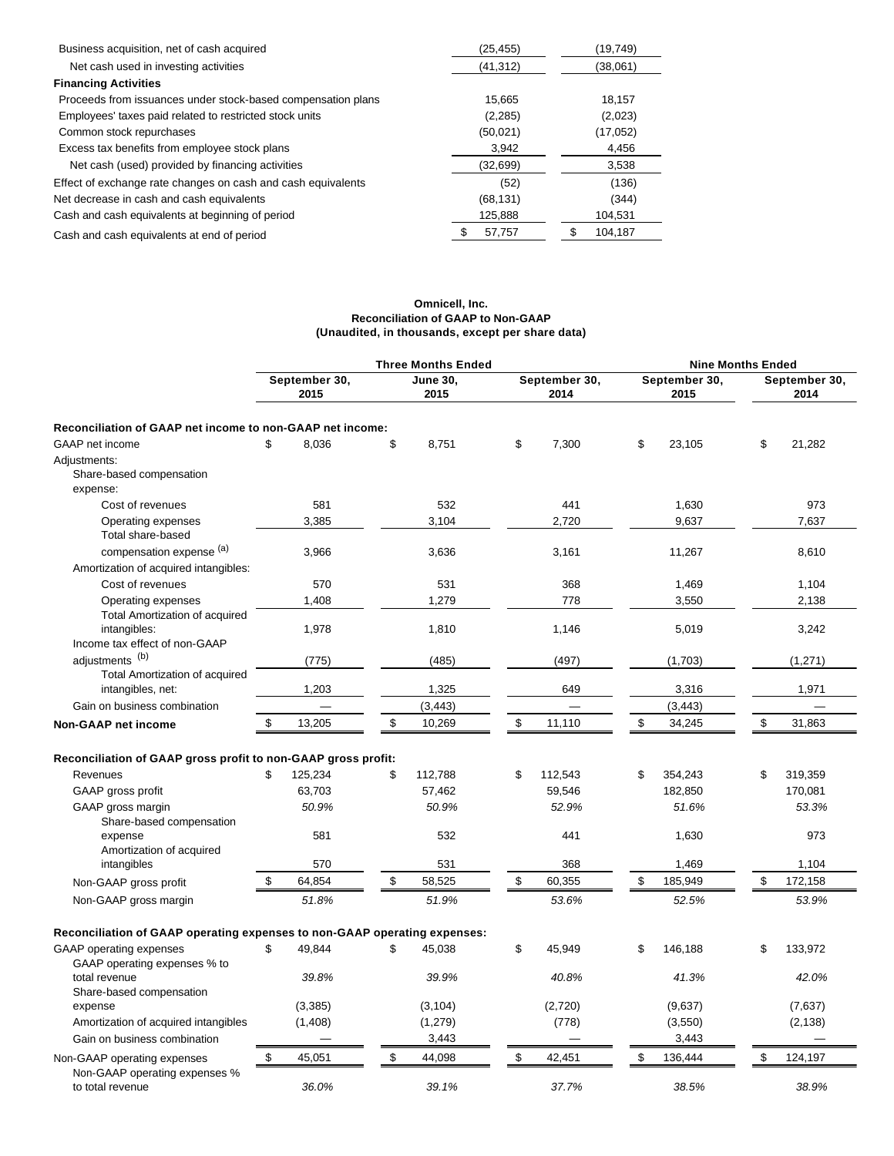| Business acquisition, net of cash acquired                   | (25, 455) | (19,749) |
|--------------------------------------------------------------|-----------|----------|
| Net cash used in investing activities                        | (41, 312) | (38,061) |
| <b>Financing Activities</b>                                  |           |          |
| Proceeds from issuances under stock-based compensation plans | 15.665    | 18.157   |
| Employees' taxes paid related to restricted stock units      | (2,285)   | (2,023)  |
| Common stock repurchases                                     | (50,021)  | (17,052) |
| Excess tax benefits from employee stock plans                | 3.942     | 4,456    |
| Net cash (used) provided by financing activities             | (32,699)  | 3,538    |
| Effect of exchange rate changes on cash and cash equivalents | (52)      | (136)    |
| Net decrease in cash and cash equivalents                    | (68, 131) | (344)    |
| Cash and cash equivalents at beginning of period             | 125,888   | 104,531  |
| Cash and cash equivalents at end of period                   | 57,757    | 104,187  |

#### **Omnicell, Inc. Reconciliation of GAAP to Non-GAAP (Unaudited, in thousands, except per share data)**

|                                                                                 |                       | <b>Three Months Ended</b> |                       |                       | <b>Nine Months Ended</b> |  |  |
|---------------------------------------------------------------------------------|-----------------------|---------------------------|-----------------------|-----------------------|--------------------------|--|--|
|                                                                                 | September 30,<br>2015 | <b>June 30,</b><br>2015   | September 30,<br>2014 | September 30,<br>2015 | September 30,<br>2014    |  |  |
| Reconciliation of GAAP net income to non-GAAP net income:                       |                       |                           |                       |                       |                          |  |  |
| GAAP net income                                                                 | \$.<br>8,036          | \$<br>8,751               | \$<br>7,300           | \$<br>23,105          | \$<br>21,282             |  |  |
| Adjustments:<br>Share-based compensation<br>expense:                            |                       |                           |                       |                       |                          |  |  |
| Cost of revenues                                                                | 581                   | 532                       | 441                   | 1,630                 | 973                      |  |  |
| Operating expenses<br>Total share-based                                         | 3,385                 | 3,104                     | 2,720                 | 9,637                 | 7,637                    |  |  |
| compensation expense (a)                                                        | 3,966                 | 3,636                     | 3,161                 | 11,267                | 8,610                    |  |  |
| Amortization of acquired intangibles:                                           |                       |                           |                       |                       |                          |  |  |
| Cost of revenues                                                                | 570                   | 531                       | 368                   | 1,469                 | 1,104                    |  |  |
| Operating expenses                                                              | 1,408                 | 1,279                     | 778                   | 3,550                 | 2,138                    |  |  |
| Total Amortization of acquired<br>intangibles:<br>Income tax effect of non-GAAP | 1,978                 | 1,810                     | 1,146                 | 5,019                 | 3,242                    |  |  |
| adjustments <sup>(b)</sup><br>Total Amortization of acquired                    | (775)                 | (485)                     | (497)                 | (1,703)               | (1, 271)                 |  |  |
| intangibles, net:                                                               | 1,203                 | 1,325                     | 649                   | 3,316                 | 1,971                    |  |  |
| Gain on business combination                                                    |                       | (3, 443)                  |                       | (3, 443)              |                          |  |  |
| <b>Non-GAAP net income</b>                                                      | \$<br>13,205          | \$<br>10,269              | \$<br>11,110          | \$<br>34,245          | \$<br>31,863             |  |  |
|                                                                                 |                       |                           |                       |                       |                          |  |  |
| Reconciliation of GAAP gross profit to non-GAAP gross profit:                   |                       |                           |                       |                       |                          |  |  |
| Revenues                                                                        | \$<br>125,234         | \$<br>112,788             | \$<br>112,543         | \$<br>354,243         | \$<br>319,359            |  |  |
| GAAP gross profit                                                               | 63,703                | 57,462                    | 59,546                | 182,850               | 170,081                  |  |  |
| GAAP gross margin<br>Share-based compensation                                   | 50.9%                 | 50.9%                     | 52.9%                 | 51.6%                 | 53.3%                    |  |  |
| expense<br>Amortization of acquired                                             | 581                   | 532                       | 441                   | 1,630                 | 973                      |  |  |
| intangibles                                                                     | 570                   | 531                       | 368                   | 1,469                 | 1,104                    |  |  |
| Non-GAAP gross profit                                                           | \$<br>64,854          | \$<br>58,525              | \$<br>60,355          | \$<br>185,949         | \$<br>172,158            |  |  |
| Non-GAAP gross margin                                                           | 51.8%                 | 51.9%                     | 53.6%                 | 52.5%                 | 53.9%                    |  |  |
| Reconciliation of GAAP operating expenses to non-GAAP operating expenses:       |                       |                           |                       |                       |                          |  |  |
| GAAP operating expenses<br>GAAP operating expenses % to                         | \$<br>49,844          | \$<br>45,038              | \$<br>45,949          | \$<br>146,188         | \$<br>133,972            |  |  |
| total revenue<br>Share-based compensation                                       | 39.8%                 | 39.9%                     | 40.8%                 | 41.3%                 | 42.0%                    |  |  |
| expense                                                                         | (3,385)               | (3, 104)                  | (2,720)               | (9,637)               | (7,637)                  |  |  |
| Amortization of acquired intangibles                                            | (1,408)               | (1, 279)                  | (778)                 | (3,550)               | (2, 138)                 |  |  |
| Gain on business combination                                                    |                       | 3,443                     |                       | 3,443                 |                          |  |  |
| Non-GAAP operating expenses<br>Non-GAAP operating expenses %                    | 45,051<br>\$          | \$<br>44,098              | \$<br>42,451          | \$<br>136,444         | \$<br>124,197            |  |  |
| to total revenue                                                                | 36.0%                 | 39.1%                     | 37.7%                 | 38.5%                 | 38.9%                    |  |  |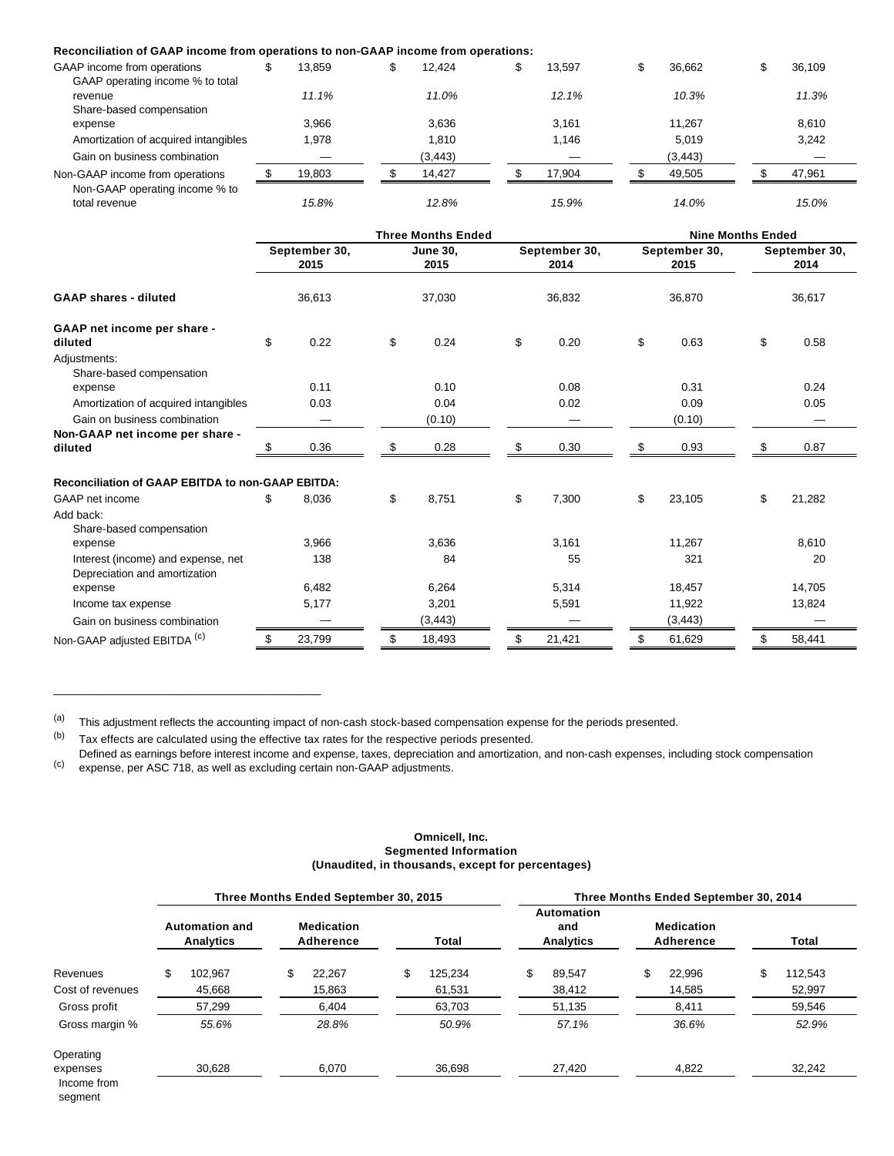#### **Reconciliation of GAAP income from operations to non-GAAP income from operations:**

| GAAP income from operations                     | 13.859 | 12.424   | 13.597 | \$<br>36.662 | æ | 36.109 |
|-------------------------------------------------|--------|----------|--------|--------------|---|--------|
| GAAP operating income % to total<br>revenue     | 11.1%  | 11.0%    | 12.1%  | 10.3%        |   | 11.3%  |
| Share-based compensation                        |        |          |        |              |   |        |
| expense                                         | 3.966  | 3.636    | 3.161  | 11.267       |   | 8.610  |
| Amortization of acquired intangibles            | 1,978  | 1.810    | 1.146  | 5.019        |   | 3.242  |
| Gain on business combination                    |        | (3, 443) |        | (3, 443)     |   |        |
| Non-GAAP income from operations                 | 19.803 | 14.427   | 17.904 | 49.505       |   | 47.961 |
| Non-GAAP operating income % to<br>total revenue | 15.8%  | 12.8%    | 15.9%  | 14.0%        |   | 15.0%  |

|                                                                     |    |                                 |    | <b>Three Months Ended</b> |    |                       | <b>Nine Months Ended</b> |                       |    |                       |  |
|---------------------------------------------------------------------|----|---------------------------------|----|---------------------------|----|-----------------------|--------------------------|-----------------------|----|-----------------------|--|
| <b>GAAP shares - diluted</b>                                        |    | September 30,<br>2015<br>36,613 |    | <b>June 30.</b><br>2015   |    | September 30,<br>2014 |                          | September 30,<br>2015 |    | September 30,<br>2014 |  |
|                                                                     |    |                                 |    | 37,030                    |    | 36,832                |                          | 36,870                |    | 36,617                |  |
| GAAP net income per share -                                         |    |                                 |    |                           |    |                       |                          |                       |    |                       |  |
| diluted                                                             | \$ | 0.22                            | \$ | 0.24                      | \$ | 0.20                  | \$                       | 0.63                  | \$ | 0.58                  |  |
| Adjustments:<br>Share-based compensation<br>expense                 |    | 0.11                            |    | 0.10                      |    | 0.08                  |                          | 0.31                  |    | 0.24                  |  |
| Amortization of acquired intangibles                                |    | 0.03                            |    | 0.04                      |    | 0.02                  |                          | 0.09                  |    | 0.05                  |  |
| Gain on business combination                                        |    |                                 |    | (0.10)                    |    |                       |                          | (0.10)                |    |                       |  |
| Non-GAAP net income per share -                                     |    |                                 |    |                           |    |                       |                          |                       |    |                       |  |
| diluted                                                             |    | 0.36                            |    | 0.28                      |    | 0.30                  | \$.                      | 0.93                  | \$ | 0.87                  |  |
| <b>Reconciliation of GAAP EBITDA to non-GAAP EBITDA:</b>            |    |                                 |    |                           |    |                       |                          |                       |    |                       |  |
| GAAP net income                                                     | \$ | 8,036                           | \$ | 8,751                     | \$ | 7,300                 | \$                       | 23,105                | \$ | 21,282                |  |
| Add back:<br>Share-based compensation                               |    |                                 |    |                           |    |                       |                          |                       |    |                       |  |
| expense                                                             |    | 3,966                           |    | 3,636                     |    | 3,161                 |                          | 11,267                |    | 8,610                 |  |
| Interest (income) and expense, net<br>Depreciation and amortization |    | 138                             |    | 84                        |    | 55                    |                          | 321                   |    | 20                    |  |
| expense                                                             |    | 6,482                           |    | 6,264                     |    | 5,314                 |                          | 18,457                |    | 14,705                |  |
| Income tax expense                                                  |    | 5,177                           |    | 3,201                     |    | 5,591                 |                          | 11,922                |    | 13,824                |  |
| Gain on business combination                                        |    |                                 |    | (3, 443)                  |    |                       |                          | (3, 443)              |    |                       |  |
| Non-GAAP adjusted EBITDA <sup>(c)</sup>                             | \$ | 23,799                          | \$ | 18,493                    |    | 21,421                | \$                       | 61,629                | \$ | 58,441                |  |

(a) This adjustment reflects the accounting impact of non-cash stock-based compensation expense for the periods presented.

 $(b)$  Tax effects are calculated using the effective tax rates for the respective periods presented.

 $\mathcal{L}_\text{max}$  and  $\mathcal{L}_\text{max}$  and  $\mathcal{L}_\text{max}$  and  $\mathcal{L}_\text{max}$  and  $\mathcal{L}_\text{max}$ 

(c) Defined as earnings before interest income and expense, taxes, depreciation and amortization, and non-cash expenses, including stock compensation expense, per ASC 718, as well as excluding certain non-GAAP adjustments.

#### **Omnicell, Inc. Segmented Information (Unaudited, in thousands, except for percentages)**

|                                    |                                    | Three Months Ended September 30, 2015 |               | Three Months Ended September 30, 2014 |                                |               |  |  |  |
|------------------------------------|------------------------------------|---------------------------------------|---------------|---------------------------------------|--------------------------------|---------------|--|--|--|
|                                    | <b>Automation and</b><br>Analytics | <b>Medication</b><br>Adherence        | Total         | Automation<br>and<br>Analytics        | <b>Medication</b><br>Adherence | Total         |  |  |  |
| Revenues                           | \$<br>102.967                      | \$<br>22.267                          | \$<br>125,234 | \$<br>89,547                          | \$<br>22,996                   | \$<br>112,543 |  |  |  |
| Cost of revenues                   | 45,668                             | 15,863                                | 61,531        | 38,412                                | 14,585                         | 52,997        |  |  |  |
| Gross profit                       | 57,299                             | 6.404                                 | 63,703        | 51,135                                | 8,411                          | 59.546        |  |  |  |
| Gross margin %                     | 55.6%                              | 28.8%                                 | 50.9%         | 57.1%                                 | 36.6%                          | 52.9%         |  |  |  |
| Operating                          |                                    |                                       |               |                                       |                                |               |  |  |  |
| expenses<br>Income from<br>segment | 30,628                             | 6,070                                 | 36,698        | 27,420                                | 4,822                          | 32,242        |  |  |  |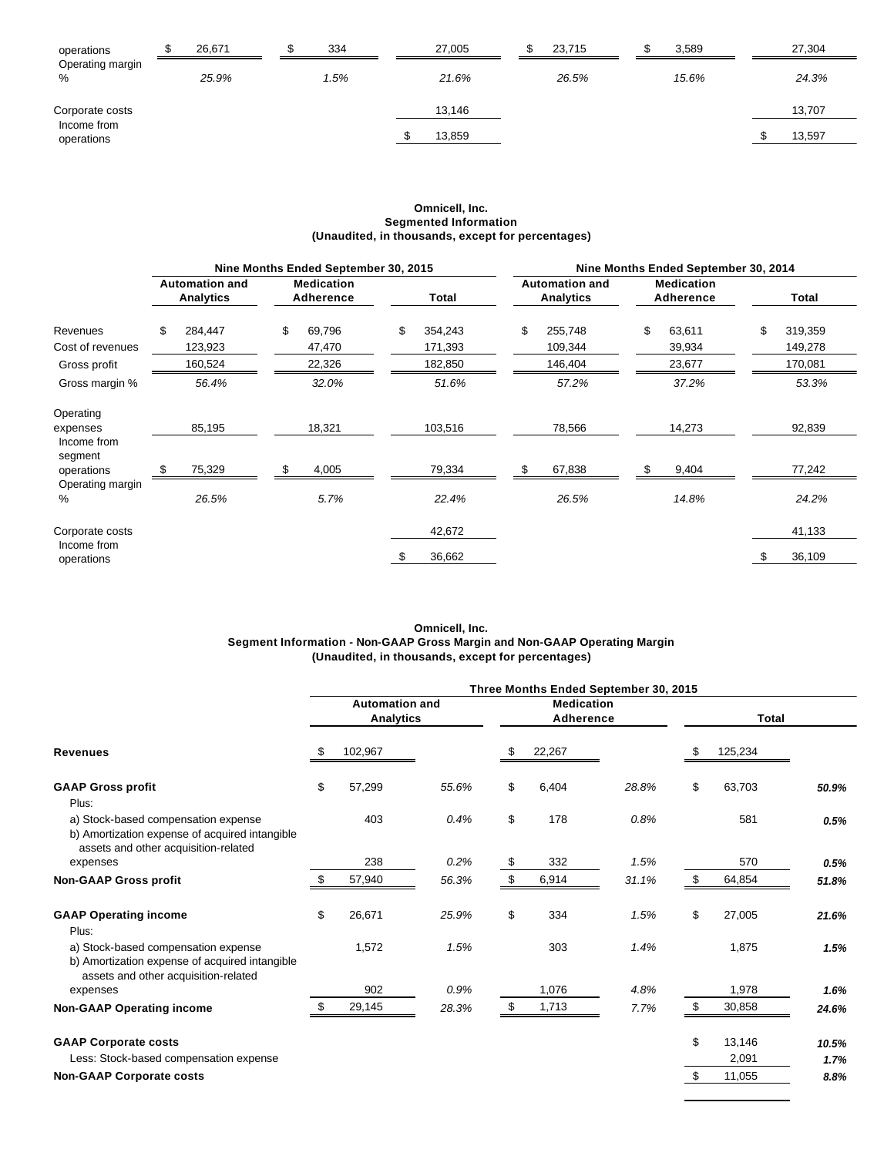| operations                | 26,671 | 334 | 27,005 | 23,715 | 3,589 | 27,304 |
|---------------------------|--------|-----|--------|--------|-------|--------|
| Operating margin<br>%     | 25.9%  | .5% | 21.6%  | 26.5%  | 15.6% | 24.3%  |
| Corporate costs           |        |     | 13.146 |        |       | 13.707 |
| Income from<br>operations |        |     | 13,859 |        |       | 13,597 |

#### **Omnicell, Inc. Segmented Information (Unaudited, in thousands, except for percentages)**

|                           |                                           | Nine Months Ended September 30, 2015 |               | Nine Months Ended September 30, 2014 |                                           |    |                                |   |         |  |
|---------------------------|-------------------------------------------|--------------------------------------|---------------|--------------------------------------|-------------------------------------------|----|--------------------------------|---|---------|--|
|                           | <b>Automation and</b><br><b>Analytics</b> | <b>Medication</b><br>Adherence       | Total         |                                      | <b>Automation and</b><br><b>Analytics</b> |    | <b>Medication</b><br>Adherence |   | Total   |  |
| Revenues                  | \$<br>284,447                             | \$<br>69,796                         | \$<br>354,243 | \$                                   | 255,748                                   | \$ | 63,611                         | S | 319,359 |  |
| Cost of revenues          | 123,923                                   | 47,470                               | 171,393       |                                      | 109,344                                   |    | 39,934                         |   | 149,278 |  |
| Gross profit              | 160,524                                   | 22,326                               | 182,850       |                                      | 146,404                                   |    | 23,677                         |   | 170,081 |  |
| Gross margin %            | 56.4%                                     | 32.0%                                | 51.6%         |                                      | 57.2%                                     |    | 37.2%                          |   | 53.3%   |  |
| Operating                 |                                           |                                      |               |                                      |                                           |    |                                |   |         |  |
| expenses                  | 85,195                                    | 18,321                               | 103,516       |                                      | 78,566                                    |    | 14,273                         |   | 92,839  |  |
| Income from<br>segment    |                                           |                                      |               |                                      |                                           |    |                                |   |         |  |
| operations                | 75,329                                    | 4,005                                | 79,334        |                                      | 67,838                                    |    | 9,404                          |   | 77,242  |  |
| Operating margin<br>%     | 26.5%                                     | 5.7%                                 | 22.4%         |                                      | 26.5%                                     |    | 14.8%                          |   | 24.2%   |  |
| Corporate costs           |                                           |                                      | 42,672        |                                      |                                           |    |                                |   | 41,133  |  |
| Income from<br>operations |                                           |                                      | 36,662        |                                      |                                           |    |                                |   | 36,109  |  |

#### **Omnicell, Inc. Segment Information - Non-GAAP Gross Margin and Non-GAAP Operating Margin (Unaudited, in thousands, except for percentages)**

| <b>Revenues</b>                                                                                                               | Three Months Ended September 30, 2015     |         |       |                                |        |       |              |         |       |
|-------------------------------------------------------------------------------------------------------------------------------|-------------------------------------------|---------|-------|--------------------------------|--------|-------|--------------|---------|-------|
|                                                                                                                               | <b>Automation and</b><br><b>Analytics</b> |         |       | <b>Medication</b><br>Adherence |        |       | <b>Total</b> |         |       |
|                                                                                                                               |                                           | 102,967 |       |                                | 22,267 |       |              | 125,234 |       |
| <b>GAAP Gross profit</b><br>Plus:                                                                                             | \$                                        | 57,299  | 55.6% | \$                             | 6,404  | 28.8% | \$           | 63,703  | 50.9% |
| a) Stock-based compensation expense<br>b) Amortization expense of acquired intangible<br>assets and other acquisition-related |                                           | 403     | 0.4%  | \$                             | 178    | 0.8%  |              | 581     | 0.5%  |
| expenses                                                                                                                      |                                           | 238     | 0.2%  | \$                             | 332    | 1.5%  |              | 570     | 0.5%  |
| <b>Non-GAAP Gross profit</b>                                                                                                  |                                           | 57,940  | 56.3% | \$                             | 6,914  | 31.1% |              | 64,854  | 51.8% |
| <b>GAAP Operating income</b><br>Plus:                                                                                         | \$                                        | 26,671  | 25.9% | \$                             | 334    | 1.5%  | \$           | 27,005  | 21.6% |
| a) Stock-based compensation expense<br>b) Amortization expense of acquired intangible<br>assets and other acquisition-related |                                           | 1,572   | 1.5%  |                                | 303    | 1.4%  |              | 1,875   | 1.5%  |
| expenses                                                                                                                      |                                           | 902     | 0.9%  |                                | 1,076  | 4.8%  |              | 1,978   | 1.6%  |
| <b>Non-GAAP Operating income</b>                                                                                              |                                           | 29,145  | 28.3% | - \$                           | 1,713  | 7.7%  |              | 30,858  | 24.6% |
| <b>GAAP Corporate costs</b>                                                                                                   |                                           |         |       |                                |        |       | \$           | 13,146  | 10.5% |
| Less: Stock-based compensation expense                                                                                        |                                           |         |       |                                |        |       |              | 2,091   | 1.7%  |
| <b>Non-GAAP Corporate costs</b>                                                                                               |                                           |         |       |                                |        |       | \$           | 11,055  | 8.8%  |